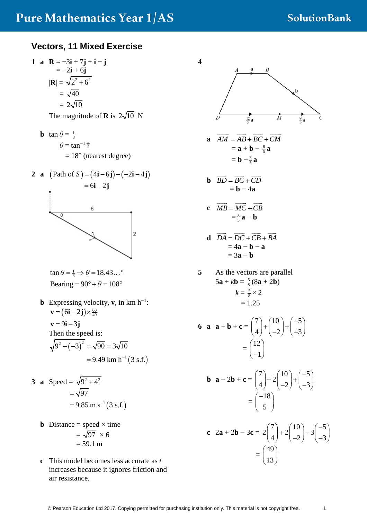#### **Vectors, 11 Mixed Exercise**

**1 a R** = −3**i** + 7**j** + **i** − **j** = −2**i** + 6**j** |**R**| = = = 2 2 2 6 + 40 2 10

The magnitude of **R** is  $2\sqrt{10}$  N

**b**  $\tan \theta = \frac{1}{3}$  $\theta = \tan^{-1} \frac{1}{3}$  $= 18^{\circ}$  (nearest degree)

**2 a** (Path of 4 6 2 4 *S* ) = − −− − ( **ij ij** ) ( ) = − 6 2 **i j**



$$
\tan \theta = \frac{1}{3} \Rightarrow \theta = 18.43...^{\circ}
$$
  
Bearing = 90° +  $\theta = 108^{\circ}$ 

**b** Expressing velocity, **v**, in km  $h^{-1}$ :  $\mathbf{v} = (6\mathbf{i} - 2\mathbf{j}) \times \frac{60}{40}$  $\mathbf{v} = 9\mathbf{i} - 3\mathbf{j}$ Then the speed is:  $(9^2 + (-3)^2) = \sqrt{90} = 3\sqrt{10}$  $= 9.49$  km h<sup>-1</sup> (3 s.f.)

3 **a** Speed = 
$$
\sqrt{9^2 + 4^2}
$$
  
=  $\sqrt{97}$   
= 9.85 m s<sup>-1</sup> (3 s.f.)

- **b** Distance = speed  $\times$  time  $= \sqrt{97} \times 6$  $= 59.1 m$
- **c** This model becomes less accurate as *t* increases because it ignores friction and air resistance.

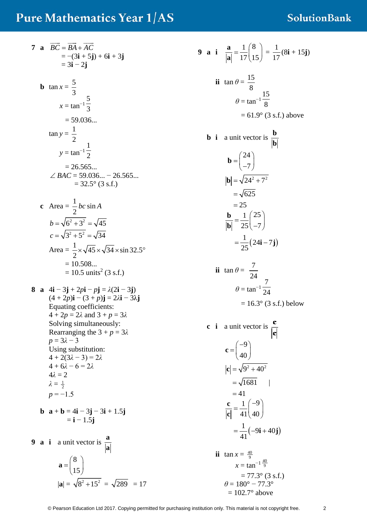# Pure Mathematics Year 1/AS

7 **a** 
$$
\overrightarrow{BC} = \overrightarrow{BA} + \overrightarrow{AC}
$$
  
\t=  $-(3\mathbf{i} + 5\mathbf{j}) + 6\mathbf{i} + 3\mathbf{j}$   
\t=  $3\mathbf{i} - 2\mathbf{j}$   
\n**b**  $\tan x = \frac{5}{3}$   
\t $x = \tan^{-1} \frac{5}{3}$   
\t=  $59.036...$   
\t $\tan y = \frac{1}{2}$   
\t $y = \tan^{-1} \frac{1}{2}$   
\t=  $26.565...$   
\t $\angle BAC = 59.036... - 26.565...$   
\t=  $32.5^{\circ}$  (3 s.f.)  
\n**c** Area =  $\frac{1}{2}bc \sin A$   
\t $b = \sqrt{6^2 + 3^2} = \sqrt{45}$   
\t $c = \sqrt{3^2 + 5^2} = \sqrt{34}$   
\tArea =  $\frac{1}{2} \times \sqrt{45} \times \sqrt{34} \times \sin 32.5^{\circ}$   
\t= 10.508...  
\t= 10.5 units<sup>2</sup> (3 s.f.)  
\n8 **a** 4**i** – 3**j** + 2*pi* – *pj* =  $\lambda$ (2**i** – 3**j**)  
\t $(4 + 2p)\mathbf{i} - (3 + p)\mathbf{j} = 2\lambda \mathbf{i} - 3\lambda \mathbf{j}$   
\tEquating coefficients:  
\t $4 + 2p = 2\lambda$  and  $3 + p = 3\lambda$   
\tSolving simultaneously:  
\tRearranging the  $3 + p = 3\lambda$   
\t $p = 3\lambda - 3$   
\tUsing substitution:  
\t $4 + 2(3\lambda - 3) = 2\lambda$   
\t $4 + 6\lambda - 6 = 2\lambda$   
\t $4\lambda = 2$   
\t $\lambda = \frac{1}{2}$   
\t $p = -1.5$ 

$$
\mathbf{b} \quad \mathbf{a} + \mathbf{b} = 4\mathbf{i} - 3\mathbf{j} - 3\mathbf{i} + 1.5\mathbf{j}
$$

 $=$ **i**  $-1.5$ **j** 

**9 a i** a unit vector is 
$$
\frac{a}{|a|}
$$
  

$$
a = \begin{pmatrix} 8 \\ 15 \end{pmatrix}
$$

$$
|a| = \sqrt{8^2 + 15^2} = \sqrt{289} = 17
$$

9 **a** i 
$$
\frac{\mathbf{a}}{|\mathbf{a}|} = \frac{1}{17} \begin{pmatrix} 8 \\ 15 \end{pmatrix} = \frac{1}{17} (8\mathbf{i} + 15\mathbf{j})
$$

ii 
$$
\tan \theta = \frac{15}{8}
$$
  
\n
$$
\theta = \tan^{-1} \frac{15}{8}
$$
\n
$$
= 61.9^{\circ} \text{ (3 s.f.) above}
$$

**b** i a unit vector is 
$$
\frac{b}{|b|}
$$
  
\n
$$
\mathbf{b} = \begin{pmatrix} 24 \\ -7 \end{pmatrix}
$$
\n
$$
|\mathbf{b}| = \sqrt{24^2 + 7^2}
$$
\n
$$
= \sqrt{625}
$$
\n
$$
= 25
$$
\n
$$
\frac{b}{|b|} = \frac{1}{25} \begin{pmatrix} 25 \\ -7 \end{pmatrix}
$$
\n
$$
= \frac{1}{25} (24i - 7j)
$$

ii 
$$
\tan \theta = \frac{7}{24}
$$
  
\n
$$
\theta = \tan^{-1} \frac{7}{24}
$$
\n
$$
= 16.3^{\circ} \text{ (3 s.f.) below}
$$

**c** i a unit vector is 
$$
\frac{c}{|c|}
$$
  
\n
$$
c = \begin{pmatrix} -9 \\ 40 \end{pmatrix}
$$
\n
$$
|c| = \sqrt{9^2 + 40^2}
$$
\n
$$
= \sqrt{1681}
$$
\n
$$
= 41
$$
\n
$$
\frac{c}{|c|} = \frac{1}{41} \begin{pmatrix} -9 \\ 40 \end{pmatrix}
$$
\n
$$
= \frac{1}{41} (-9i + 40j)
$$

ii 
$$
\tan x = \frac{40}{9}
$$
  
\n $x = \tan^{-1} \frac{40}{9}$   
\n $= 77.3^{\circ} (3 \text{ s.f.})$   
\n $\theta = 180^{\circ} - 77.3^{\circ}$   
\n $= 102.7^{\circ} \text{ above}$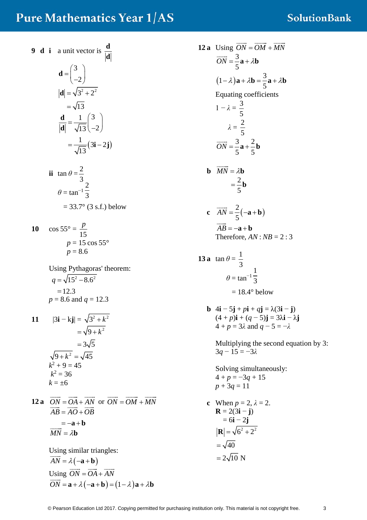### **Pure Mathematics Year 1/AS**

9 d i a unit vector is 
$$
\frac{d}{|d|}
$$
  
\n
$$
d = \begin{pmatrix} 3 \\ -2 \end{pmatrix}
$$
\n
$$
|d| = \sqrt{3^2 + 2^2}
$$
\n
$$
= \sqrt{13}
$$
\n
$$
\frac{d}{|d|} = \frac{1}{\sqrt{13}} \begin{pmatrix} 3 \\ -2 \end{pmatrix}
$$
\n
$$
= \frac{1}{\sqrt{13}} (3\mathbf{i} - 2\mathbf{j})
$$

ii 
$$
\tan \theta = \frac{2}{3}
$$
  
\n $\theta = \tan^{-1} \frac{2}{3}$   
\n= 33.7° (3 s.f.) below

10 
$$
\cos 55^\circ = \frac{p}{15}
$$
  
\n $p = 15 \cos 55^\circ$   
\n $p = 8.6$ 

Using Pythagoras' theorem:  
\n
$$
q = \sqrt{15^2 - 8.6^2}
$$
  
\n= 12.3  
\n $p = 8.6$  and  $q = 12.3$ 

11 
$$
|3\mathbf{i} - \mathbf{k}\mathbf{j}| = \sqrt{3^2 + k^2}
$$
  
\t\t\t\t $= \sqrt{9 + k^2}$   
\t\t\t\t $= 3\sqrt{5}$   
\t\t\t\t $\sqrt{9 + k^2} = \sqrt{45}$   
\t\t\t\t $k^2 + 9 = 45$   
\t\t\t\t $k^2 = 36$   
\t\t\t\t $k = \pm 6$ 

**12 a**  $\overrightarrow{ON} = \overrightarrow{OA} + \overrightarrow{AN}$  or  $\overrightarrow{ON} = \overrightarrow{OM} + \overrightarrow{MN}$  $AB = AO + OB$  $=-\mathbf{a}+\mathbf{b}$  $\frac{U}{V}$   $\frac{U}{V}$   $\frac{U}{V}$   $\frac{U}{V}$  $\overrightarrow{MN} = \lambda \mathbf{b}$ 

> Using similar triangles:  $\overrightarrow{AN} = \lambda(-\mathbf{a} + \mathbf{b})$ Using  $\overrightarrow{ON} = \overrightarrow{OA} + \overrightarrow{AN}$  $\overrightarrow{ON} = \mathbf{a} + \lambda(-\mathbf{a} + \mathbf{b}) = (1 - \lambda)\mathbf{a} + \lambda\mathbf{b}$

12 a Using 
$$
\overrightarrow{ON} = \overrightarrow{OM} + \overrightarrow{MN}
$$
  
\n $\overrightarrow{ON} = \frac{3}{5} \mathbf{a} + \lambda \mathbf{b}$   
\n $(1-\lambda)\mathbf{a} + \lambda \mathbf{b} = \frac{3}{5} \mathbf{a} + \lambda \mathbf{b}$   
\nEquating coefficients  
\n $1 - \lambda = \frac{3}{5}$   
\n $\lambda = \frac{2}{5}$   
\n $\overrightarrow{ON} = \frac{3}{5} \mathbf{a} + \frac{2}{5} \mathbf{b}$   
\n**b**  $\overrightarrow{MN} = \lambda \mathbf{b}$   
\n $= \frac{2}{5} \mathbf{b}$   
\n**c**  $\overrightarrow{AN} = \frac{2}{5} (-\mathbf{a} + \mathbf{b})$   
\n $\overrightarrow{AB} = -\mathbf{a} + \mathbf{b}$   
\nTherefore,  $AN : NB = 2 : 3$   
\n13 a  $\tan \theta = \frac{1}{3}$   
\n $\theta = \tan^{-1} \frac{1}{3}$   
\n $= 18.4^{\circ}$  below  
\n**b**  $4\mathbf{i} - 5\mathbf{j} + p\mathbf{i} + q\mathbf{j} = \lambda(3\mathbf{i} - \mathbf{j})$ 

 $(4 + p)\mathbf{i} + (q - 5)\mathbf{j} = 3\lambda \mathbf{i} - \lambda \mathbf{j}$ 4 + *p* = 3*λ* and *q* − 5 = −*λ*

Multiplying the second equation by 3: 3*q* − 15 = −3*λ*

Solving simultaneously:  $4 + p = -3q + 15$ *p* + 3*q* = 11

c When 
$$
p = 2
$$
,  $\lambda = 2$ .  
\n**R** = 2(3**i** – **j**)  
\n= 6**i** – 2**j**  
\n|**R**| =  $\sqrt{6^2 + 2^2}$   
\n=  $\sqrt{40}$   
\n= 2 $\sqrt{10}$  N